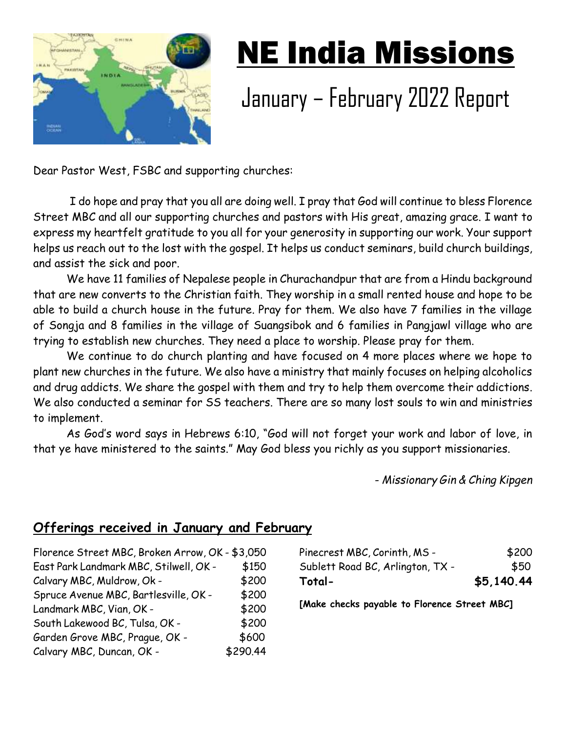

# NE India Missions

# January – February 2022 Report

Dear Pastor West, FSBC and supporting churches:

 I do hope and pray that you all are doing well. I pray that God will continue to bless Florence Street MBC and all our supporting churches and pastors with His great, amazing grace. I want to express my heartfelt gratitude to you all for your generosity in supporting our work. Your support helps us reach out to the lost with the gospel. It helps us conduct seminars, build church buildings, and assist the sick and poor.

We have 11 families of Nepalese people in Churachandpur that are from a Hindu background that are new converts to the Christian faith. They worship in a small rented house and hope to be able to build a church house in the future. Pray for them. We also have 7 families in the village of Songja and 8 families in the village of Suangsibok and 6 families in Pangjawl village who are trying to establish new churches. They need a place to worship. Please pray for them.

We continue to do church planting and have focused on 4 more places where we hope to plant new churches in the future. We also have a ministry that mainly focuses on helping alcoholics and drug addicts. We share the gospel with them and try to help them overcome their addictions. We also conducted a seminar for SS teachers. There are so many lost souls to win and ministries to implement.

As God's word says in Hebrews 6:10, "God will not forget your work and labor of love, in that ye have ministered to the saints." May God bless you richly as you support missionaries.

- *Missionary Gin & Ching Kipgen*

## **Offerings received in January and February**

| Florence Street MBC, Broken Arrow, OK - \$3,050 |          |
|-------------------------------------------------|----------|
| East Park Landmark MBC, Stilwell, OK -          | \$150    |
| Calvary MBC, Muldrow, Ok -                      | \$200    |
| Spruce Avenue MBC, Bartlesville, OK -           | \$200    |
| Landmark MBC, Vian, OK -                        | \$200    |
| South Lakewood BC, Tulsa, OK -                  | \$200    |
| Garden Grove MBC, Prague, OK -                  | \$600    |
| Calvary MBC, Duncan, OK -                       | \$290.44 |

| \$5,140.44 |
|------------|
| \$50       |
| \$200      |
|            |

**[Make checks payable to Florence Street MBC]**